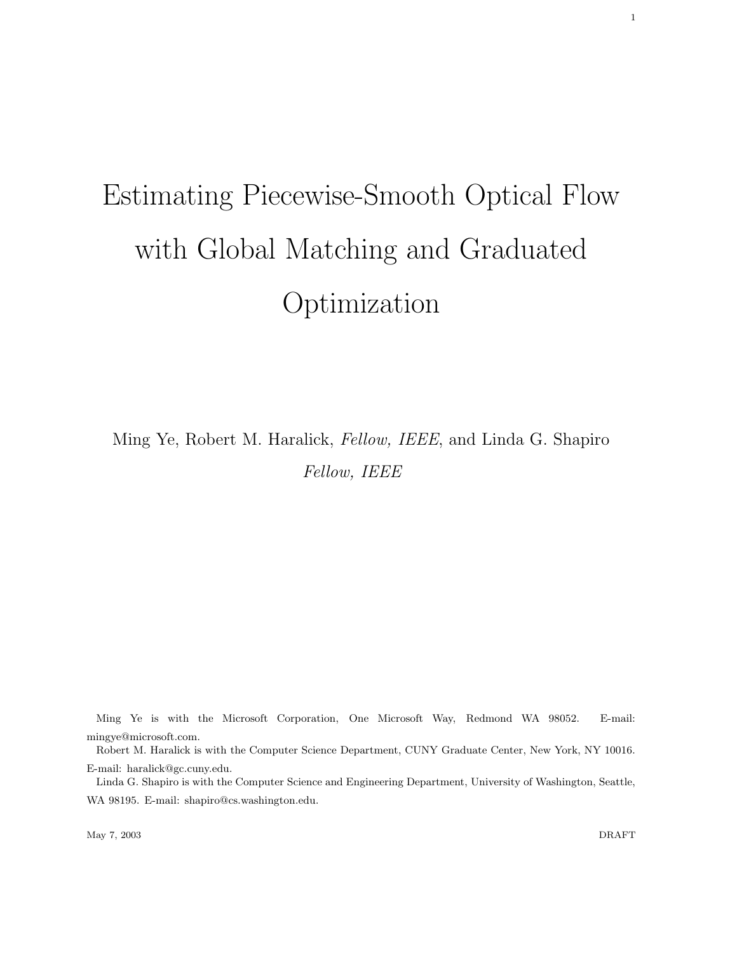# Estimating Piecewise-Smooth Optical Flow with Global Matching and Graduated Optimization

Ming Ye, Robert M. Haralick, Fellow, IEEE, and Linda G. Shapiro Fellow, IEEE

Ming Ye is with the Microsoft Corporation, One Microsoft Way, Redmond WA 98052. E-mail: mingye@microsoft.com.

Robert M. Haralick is with the Computer Science Department, CUNY Graduate Center, New York, NY 10016. E-mail: haralick@gc.cuny.edu.

Linda G. Shapiro is with the Computer Science and Engineering Department, University of Washington, Seattle, WA 98195. E-mail: shapiro@cs.washington.edu.

May 7, 2003 DRAFT

1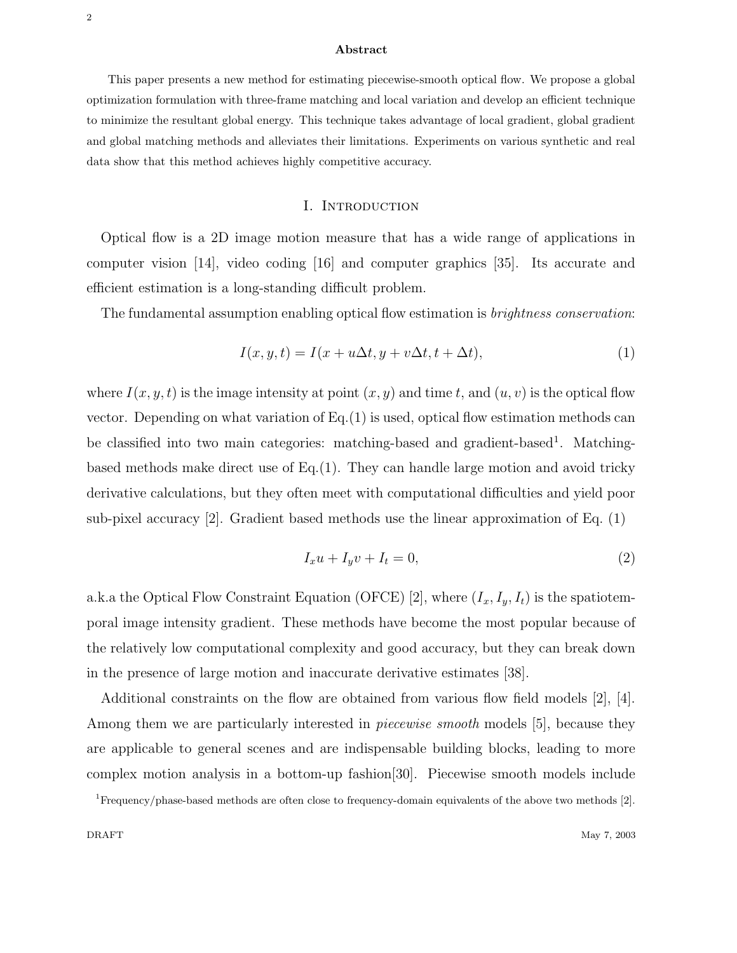#### Abstract

This paper presents a new method for estimating piecewise-smooth optical flow. We propose a global optimization formulation with three-frame matching and local variation and develop an efficient technique to minimize the resultant global energy. This technique takes advantage of local gradient, global gradient and global matching methods and alleviates their limitations. Experiments on various synthetic and real data show that this method achieves highly competitive accuracy.

#### I. Introduction

Optical flow is a 2D image motion measure that has a wide range of applications in computer vision [14], video coding [16] and computer graphics [35]. Its accurate and efficient estimation is a long-standing difficult problem.

The fundamental assumption enabling optical flow estimation is *brightness conservation*:

$$
I(x, y, t) = I(x + u\Delta t, y + v\Delta t, t + \Delta t),
$$
\n<sup>(1)</sup>

where  $I(x, y, t)$  is the image intensity at point  $(x, y)$  and time t, and  $(u, v)$  is the optical flow vector. Depending on what variation of  $Eq.(1)$  is used, optical flow estimation methods can be classified into two main categories: matching-based and gradient-based<sup>1</sup>. Matchingbased methods make direct use of Eq.(1). They can handle large motion and avoid tricky derivative calculations, but they often meet with computational difficulties and yield poor sub-pixel accuracy [2]. Gradient based methods use the linear approximation of Eq. (1)

$$
I_x u + I_y v + I_t = 0,\t\t(2)
$$

a.k.a the Optical Flow Constraint Equation (OFCE) [2], where  $(I_x, I_y, I_t)$  is the spatiotemporal image intensity gradient. These methods have become the most popular because of the relatively low computational complexity and good accuracy, but they can break down in the presence of large motion and inaccurate derivative estimates [38].

Additional constraints on the flow are obtained from various flow field models  $|2|$ ,  $|4|$ . Among them we are particularly interested in *piecewise smooth* models [5], because they are applicable to general scenes and are indispensable building blocks, leading to more complex motion analysis in a bottom-up fashion[30]. Piecewise smooth models include

<sup>1</sup>Frequency/phase-based methods are often close to frequency-domain equivalents of the above two methods [2].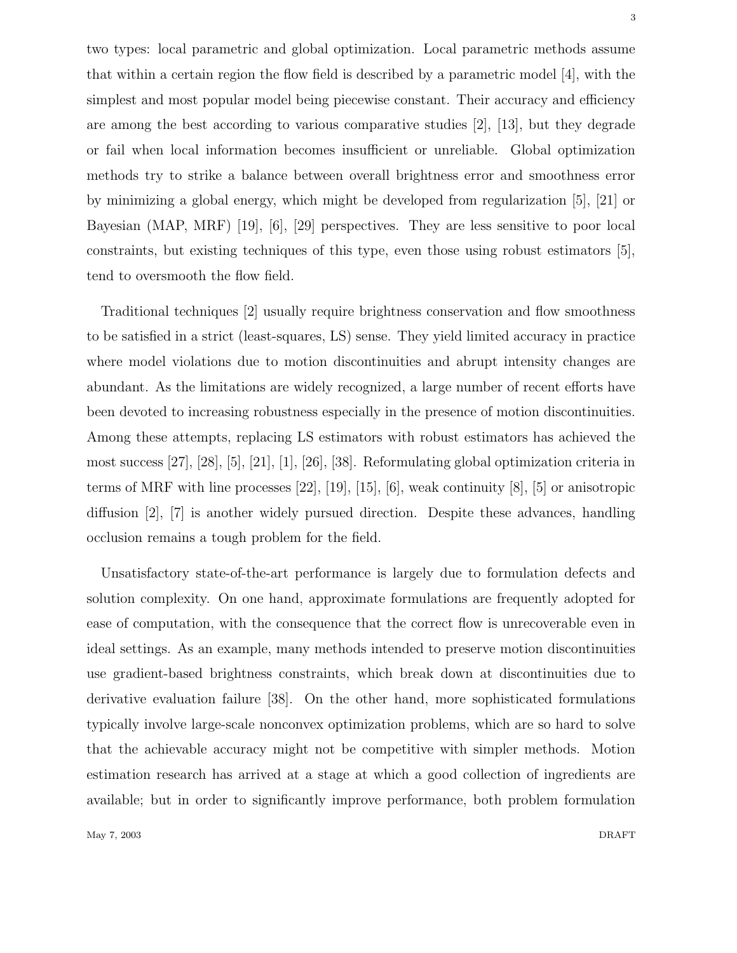two types: local parametric and global optimization. Local parametric methods assume that within a certain region the flow field is described by a parametric model [4], with the simplest and most popular model being piecewise constant. Their accuracy and efficiency are among the best according to various comparative studies [2], [13], but they degrade or fail when local information becomes insufficient or unreliable. Global optimization methods try to strike a balance between overall brightness error and smoothness error by minimizing a global energy, which might be developed from regularization [5], [21] or Bayesian (MAP, MRF) [19], [6], [29] perspectives. They are less sensitive to poor local constraints, but existing techniques of this type, even those using robust estimators [5], tend to oversmooth the flow field.

Traditional techniques [2] usually require brightness conservation and flow smoothness to be satisfied in a strict (least-squares, LS) sense. They yield limited accuracy in practice where model violations due to motion discontinuities and abrupt intensity changes are abundant. As the limitations are widely recognized, a large number of recent efforts have been devoted to increasing robustness especially in the presence of motion discontinuities. Among these attempts, replacing LS estimators with robust estimators has achieved the most success [27], [28], [5], [21], [1], [26], [38]. Reformulating global optimization criteria in terms of MRF with line processes [22], [19], [15], [6], weak continuity [8], [5] or anisotropic diffusion [2], [7] is another widely pursued direction. Despite these advances, handling occlusion remains a tough problem for the field.

Unsatisfactory state-of-the-art performance is largely due to formulation defects and solution complexity. On one hand, approximate formulations are frequently adopted for ease of computation, with the consequence that the correct flow is unrecoverable even in ideal settings. As an example, many methods intended to preserve motion discontinuities use gradient-based brightness constraints, which break down at discontinuities due to derivative evaluation failure [38]. On the other hand, more sophisticated formulations typically involve large-scale nonconvex optimization problems, which are so hard to solve that the achievable accuracy might not be competitive with simpler methods. Motion estimation research has arrived at a stage at which a good collection of ingredients are available; but in order to significantly improve performance, both problem formulation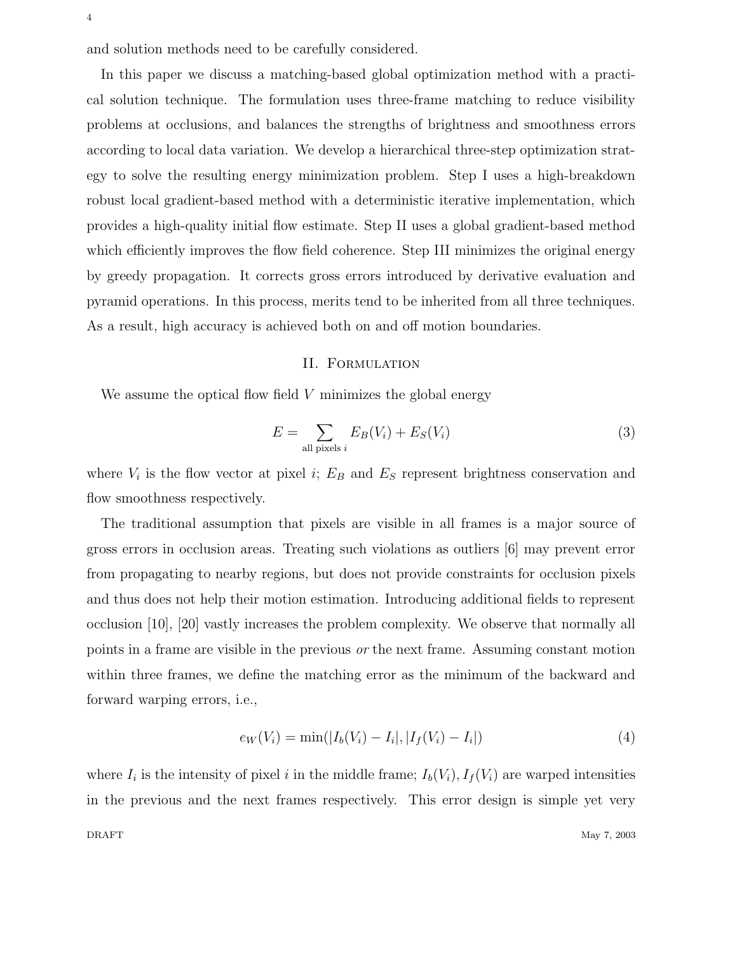and solution methods need to be carefully considered.

In this paper we discuss a matching-based global optimization method with a practical solution technique. The formulation uses three-frame matching to reduce visibility problems at occlusions, and balances the strengths of brightness and smoothness errors according to local data variation. We develop a hierarchical three-step optimization strategy to solve the resulting energy minimization problem. Step I uses a high-breakdown robust local gradient-based method with a deterministic iterative implementation, which provides a high-quality initial flow estimate. Step II uses a global gradient-based method which efficiently improves the flow field coherence. Step III minimizes the original energy by greedy propagation. It corrects gross errors introduced by derivative evaluation and pyramid operations. In this process, merits tend to be inherited from all three techniques. As a result, high accuracy is achieved both on and off motion boundaries.

## II. Formulation

We assume the optical flow field  $V$  minimizes the global energy

$$
E = \sum_{\text{all pixels } i} E_B(V_i) + E_S(V_i)
$$
\n(3)

where  $V_i$  is the flow vector at pixel i;  $E_B$  and  $E_S$  represent brightness conservation and flow smoothness respectively.

The traditional assumption that pixels are visible in all frames is a major source of gross errors in occlusion areas. Treating such violations as outliers [6] may prevent error from propagating to nearby regions, but does not provide constraints for occlusion pixels and thus does not help their motion estimation. Introducing additional fields to represent occlusion [10], [20] vastly increases the problem complexity. We observe that normally all points in a frame are visible in the previous or the next frame. Assuming constant motion within three frames, we define the matching error as the minimum of the backward and forward warping errors, i.e.,

$$
e_W(V_i) = \min(|I_b(V_i) - I_i|, |I_f(V_i) - I_i|)
$$
\n(4)

where  $I_i$  is the intensity of pixel i in the middle frame;  $I_b(V_i)$ ,  $I_f(V_i)$  are warped intensities in the previous and the next frames respectively. This error design is simple yet very DRAFT May 7, 2003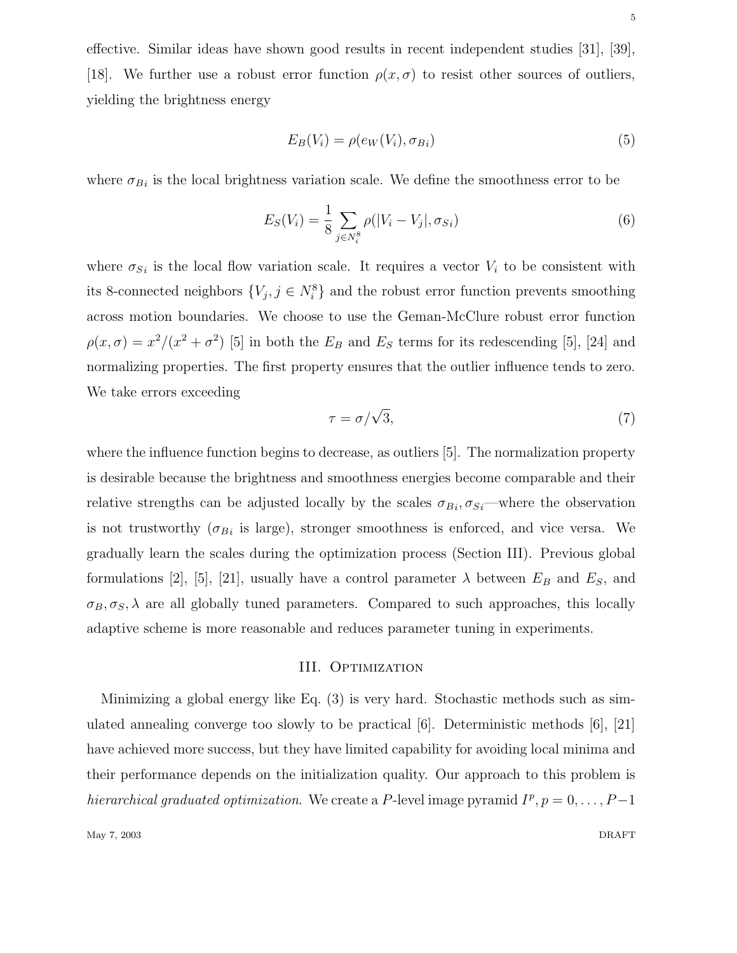effective. Similar ideas have shown good results in recent independent studies [31], [39], [18]. We further use a robust error function  $\rho(x, \sigma)$  to resist other sources of outliers, yielding the brightness energy

$$
E_B(V_i) = \rho(e_W(V_i), \sigma_{Bi})\tag{5}
$$

where  $\sigma_{B_i}$  is the local brightness variation scale. We define the smoothness error to be

$$
E_S(V_i) = \frac{1}{8} \sum_{j \in N_i^8} \rho(|V_i - V_j|, \sigma_{Si})
$$
\n(6)

where  $\sigma_{Si}$  is the local flow variation scale. It requires a vector  $V_i$  to be consistent with its 8-connected neighbors  ${V_j, j \in N_i^8}$  and the robust error function prevents smoothing across motion boundaries. We choose to use the Geman-McClure robust error function  $\rho(x,\sigma) = x^2/(x^2 + \sigma^2)$  [5] in both the  $E_B$  and  $E_S$  terms for its redescending [5], [24] and normalizing properties. The first property ensures that the outlier influence tends to zero. We take errors exceeding

$$
\tau = \sigma / \sqrt{3},\tag{7}
$$

where the influence function begins to decrease, as outliers [5]. The normalization property is desirable because the brightness and smoothness energies become comparable and their relative strengths can be adjusted locally by the scales  $\sigma_{Bi}$ ,  $\sigma_{Si}$ —where the observation is not trustworthy  $(\sigma_{B_i}$  is large), stronger smoothness is enforced, and vice versa. We gradually learn the scales during the optimization process (Section III). Previous global formulations [2], [5], [21], usually have a control parameter  $\lambda$  between  $E_B$  and  $E_S$ , and  $\sigma_B, \sigma_S, \lambda$  are all globally tuned parameters. Compared to such approaches, this locally adaptive scheme is more reasonable and reduces parameter tuning in experiments.

## III. OPTIMIZATION

Minimizing a global energy like Eq. (3) is very hard. Stochastic methods such as simulated annealing converge too slowly to be practical  $[6]$ . Deterministic methods  $[6]$ ,  $[21]$ have achieved more success, but they have limited capability for avoiding local minima and their performance depends on the initialization quality. Our approach to this problem is hierarchical graduated optimization. We create a P-level image pyramid  $I^p, p = 0, \ldots, P-1$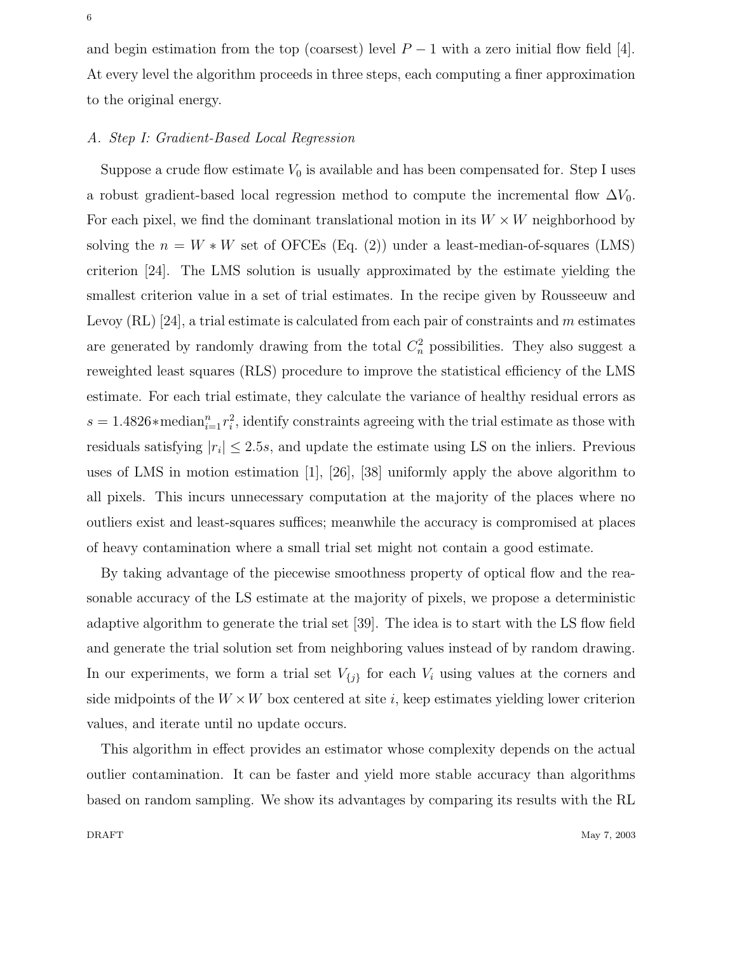and begin estimation from the top (coarsest) level  $P-1$  with a zero initial flow field [4]. At every level the algorithm proceeds in three steps, each computing a finer approximation to the original energy.

## A. Step I: Gradient-Based Local Regression

Suppose a crude flow estimate  $V_0$  is available and has been compensated for. Step I uses a robust gradient-based local regression method to compute the incremental flow  $\Delta V_0$ . For each pixel, we find the dominant translational motion in its  $W \times W$  neighborhood by solving the  $n = W * W$  set of OFCEs (Eq. (2)) under a least-median-of-squares (LMS) criterion [24]. The LMS solution is usually approximated by the estimate yielding the smallest criterion value in a set of trial estimates. In the recipe given by Rousseeuw and Levoy  $(RL)$  [24], a trial estimate is calculated from each pair of constraints and m estimates are generated by randomly drawing from the total  $C_n^2$  possibilities. They also suggest a reweighted least squares (RLS) procedure to improve the statistical efficiency of the LMS estimate. For each trial estimate, they calculate the variance of healthy residual errors as  $s = 1.4826*$  median<sup>n</sup><sub>i=1</sub> $r_i^2$ , identify constraints agreeing with the trial estimate as those with residuals satisfying  $|r_i| \le 2.5s$ , and update the estimate using LS on the inliers. Previous uses of LMS in motion estimation [1], [26], [38] uniformly apply the above algorithm to all pixels. This incurs unnecessary computation at the majority of the places where no outliers exist and least-squares suffices; meanwhile the accuracy is compromised at places of heavy contamination where a small trial set might not contain a good estimate.

By taking advantage of the piecewise smoothness property of optical flow and the reasonable accuracy of the LS estimate at the majority of pixels, we propose a deterministic adaptive algorithm to generate the trial set [39]. The idea is to start with the LS flow field and generate the trial solution set from neighboring values instead of by random drawing. In our experiments, we form a trial set  $V_{\{j\}}$  for each  $V_i$  using values at the corners and side midpoints of the  $W \times W$  box centered at site i, keep estimates yielding lower criterion values, and iterate until no update occurs.

This algorithm in effect provides an estimator whose complexity depends on the actual outlier contamination. It can be faster and yield more stable accuracy than algorithms based on random sampling. We show its advantages by comparing its results with the RL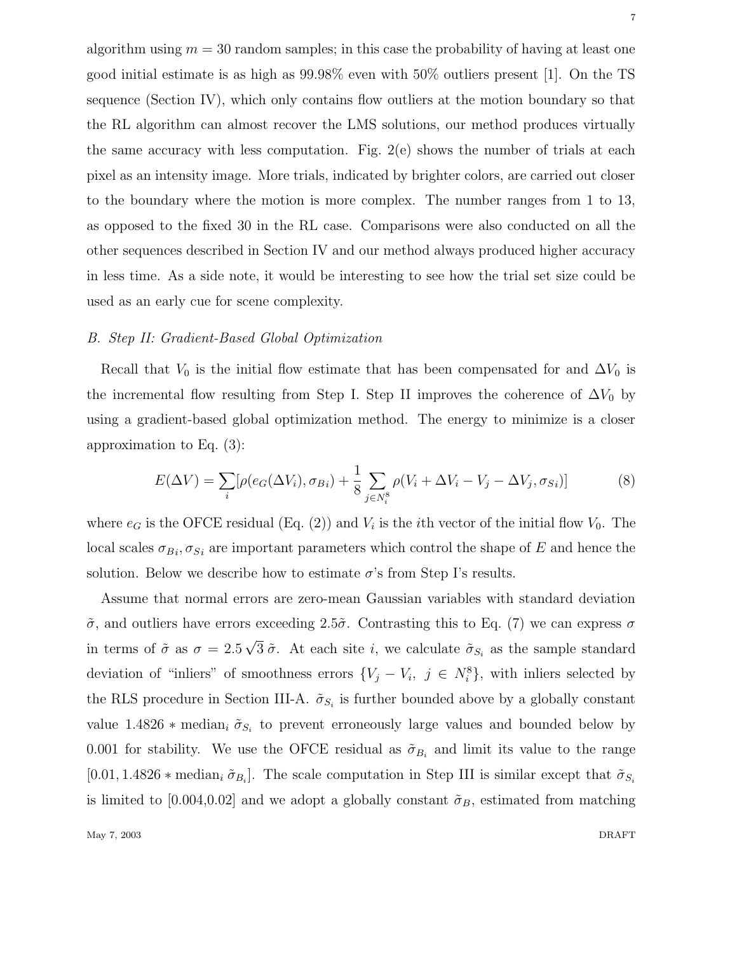algorithm using  $m = 30$  random samples; in this case the probability of having at least one good initial estimate is as high as 99.98% even with 50% outliers present [1]. On the TS sequence (Section IV), which only contains flow outliers at the motion boundary so that the RL algorithm can almost recover the LMS solutions, our method produces virtually the same accuracy with less computation. Fig. 2(e) shows the number of trials at each pixel as an intensity image. More trials, indicated by brighter colors, are carried out closer to the boundary where the motion is more complex. The number ranges from 1 to 13, as opposed to the fixed 30 in the RL case. Comparisons were also conducted on all the other sequences described in Section IV and our method always produced higher accuracy in less time. As a side note, it would be interesting to see how the trial set size could be used as an early cue for scene complexity.

## B. Step II: Gradient-Based Global Optimization

Recall that  $V_0$  is the initial flow estimate that has been compensated for and  $\Delta V_0$  is the incremental flow resulting from Step I. Step II improves the coherence of  $\Delta V_0$  by using a gradient-based global optimization method. The energy to minimize is a closer approximation to Eq. (3):

$$
E(\Delta V) = \sum_{i} [\rho(e_G(\Delta V_i), \sigma_{Bi}) + \frac{1}{8} \sum_{j \in N_i^8} \rho(V_i + \Delta V_i - V_j - \Delta V_j, \sigma_{Si})]
$$
(8)

where  $e_G$  is the OFCE residual (Eq. (2)) and  $V_i$  is the *i*th vector of the initial flow  $V_0$ . The local scales  $\sigma_{B_i}, \sigma_{S_i}$  are important parameters which control the shape of E and hence the solution. Below we describe how to estimate  $\sigma$ 's from Step I's results.

Assume that normal errors are zero-mean Gaussian variables with standard deviation  $\tilde{\sigma}$ , and outliers have errors exceeding 2.5 $\tilde{\sigma}$ . Contrasting this to Eq. (7) we can express  $\sigma$ in terms of  $\tilde{\sigma}$  as  $\sigma = 2.5\sqrt{3} \tilde{\sigma}$ . At each site *i*, we calculate  $\tilde{\sigma}_{S_i}$  as the sample standard deviation of "inliers" of smoothness errors  $\{V_j - V_i, j \in N_i^8\}$ , with inliers selected by the RLS procedure in Section III-A.  $\tilde{\sigma}_{S_i}$  is further bounded above by a globally constant value 1.4826  $*$  median<sub>i</sub>  $\tilde{\sigma}_{S_i}$  to prevent erroneously large values and bounded below by 0.001 for stability. We use the OFCE residual as  $\tilde{\sigma}_{B_i}$  and limit its value to the range [0.01, 1.4826  $*$  median<sub>i</sub>  $\tilde{\sigma}_{B_i}$ ]. The scale computation in Step III is similar except that  $\tilde{\sigma}_{S_i}$ is limited to [0.004,0.02] and we adopt a globally constant  $\tilde{\sigma}_B$ , estimated from matching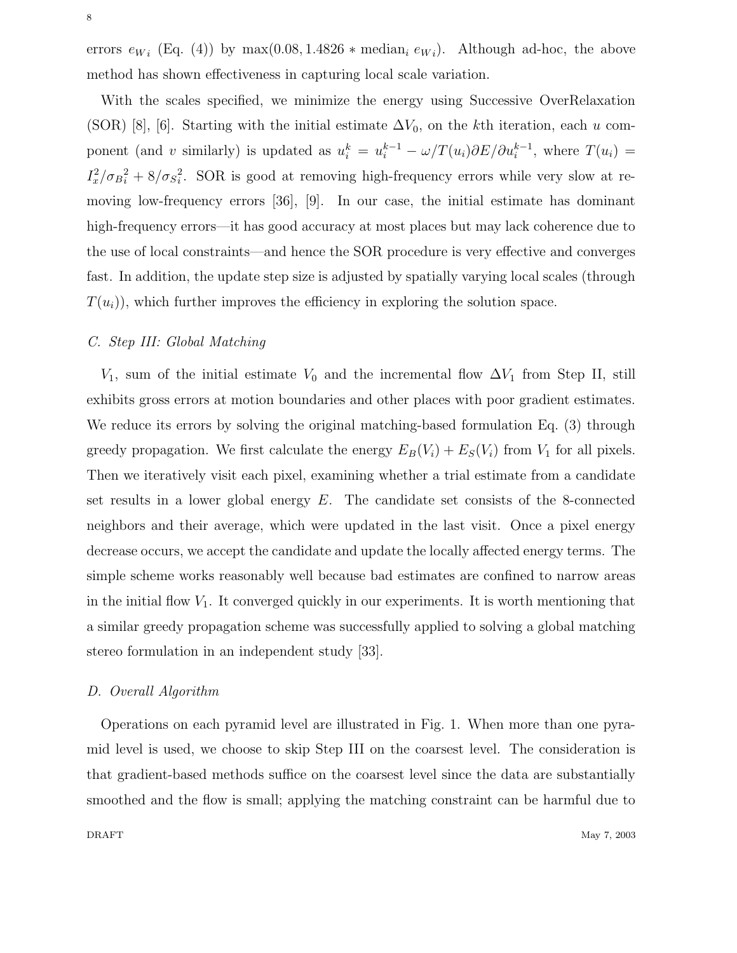errors  $e_{Wi}$  (Eq. (4)) by  $\max(0.08, 1.4826 * \text{median}_i e_{Wi})$ . Although ad-hoc, the above method has shown effectiveness in capturing local scale variation.

With the scales specified, we minimize the energy using Successive OverRelaxation (SOR) [8], [6]. Starting with the initial estimate  $\Delta V_0$ , on the kth iteration, each u component (and v similarly) is updated as  $u_i^k = u_i^{k-1} - \omega/T(u_i)\partial E/\partial u_i^{k-1}$ , where  $T(u_i) =$  $I_x^2/\sigma_{B_i}^2 + 8/\sigma_{S_i}^2$ . SOR is good at removing high-frequency errors while very slow at removing low-frequency errors [36], [9]. In our case, the initial estimate has dominant high-frequency errors—it has good accuracy at most places but may lack coherence due to the use of local constraints—and hence the SOR procedure is very effective and converges fast. In addition, the update step size is adjusted by spatially varying local scales (through  $T(u_i)$ , which further improves the efficiency in exploring the solution space.

# C. Step III: Global Matching

 $V_1$ , sum of the initial estimate  $V_0$  and the incremental flow  $\Delta V_1$  from Step II, still exhibits gross errors at motion boundaries and other places with poor gradient estimates. We reduce its errors by solving the original matching-based formulation Eq. (3) through greedy propagation. We first calculate the energy  $E_B(V_i) + E_S(V_i)$  from  $V_1$  for all pixels. Then we iteratively visit each pixel, examining whether a trial estimate from a candidate set results in a lower global energy  $E$ . The candidate set consists of the 8-connected neighbors and their average, which were updated in the last visit. Once a pixel energy decrease occurs, we accept the candidate and update the locally affected energy terms. The simple scheme works reasonably well because bad estimates are confined to narrow areas in the initial flow  $V_1$ . It converged quickly in our experiments. It is worth mentioning that a similar greedy propagation scheme was successfully applied to solving a global matching stereo formulation in an independent study [33].

## D. Overall Algorithm

Operations on each pyramid level are illustrated in Fig. 1. When more than one pyramid level is used, we choose to skip Step III on the coarsest level. The consideration is that gradient-based methods suffice on the coarsest level since the data are substantially smoothed and the flow is small; applying the matching constraint can be harmful due to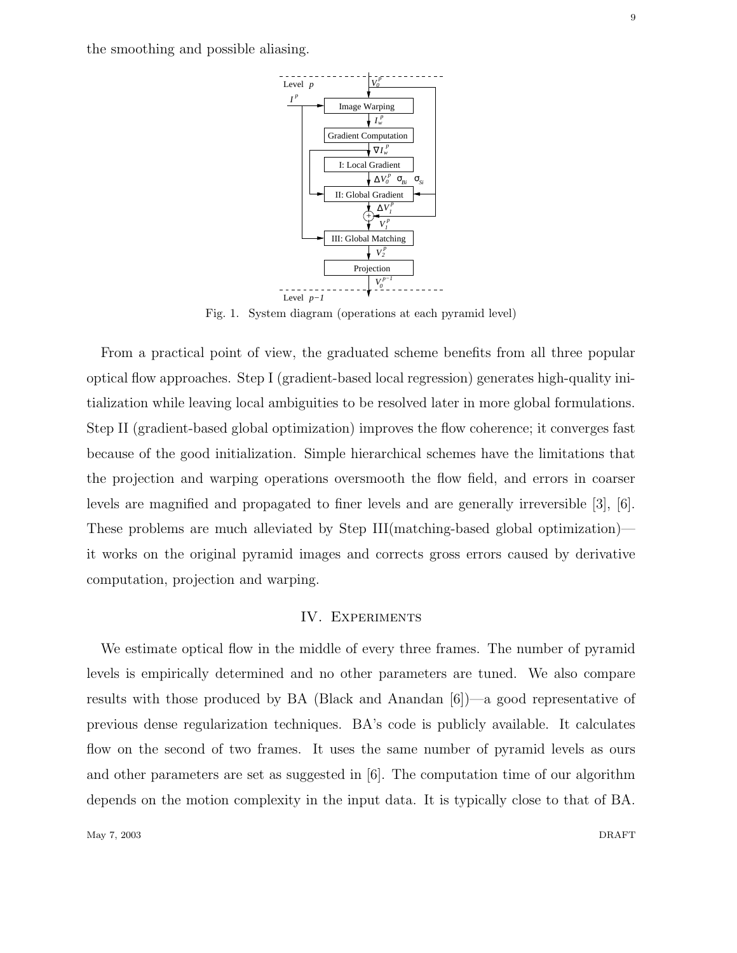the smoothing and possible aliasing.



Fig. 1. System diagram (operations at each pyramid level)

From a practical point of view, the graduated scheme benefits from all three popular optical flow approaches. Step I (gradient-based local regression) generates high-quality initialization while leaving local ambiguities to be resolved later in more global formulations. Step II (gradient-based global optimization) improves the flow coherence; it converges fast because of the good initialization. Simple hierarchical schemes have the limitations that the projection and warping operations oversmooth the flow field, and errors in coarser levels are magnified and propagated to finer levels and are generally irreversible [3], [6]. These problems are much alleviated by Step III(matching-based global optimization) it works on the original pyramid images and corrects gross errors caused by derivative computation, projection and warping.

## IV. Experiments

We estimate optical flow in the middle of every three frames. The number of pyramid levels is empirically determined and no other parameters are tuned. We also compare results with those produced by BA (Black and Anandan [6])—a good representative of previous dense regularization techniques. BA's code is publicly available. It calculates flow on the second of two frames. It uses the same number of pyramid levels as ours and other parameters are set as suggested in [6]. The computation time of our algorithm depends on the motion complexity in the input data. It is typically close to that of BA.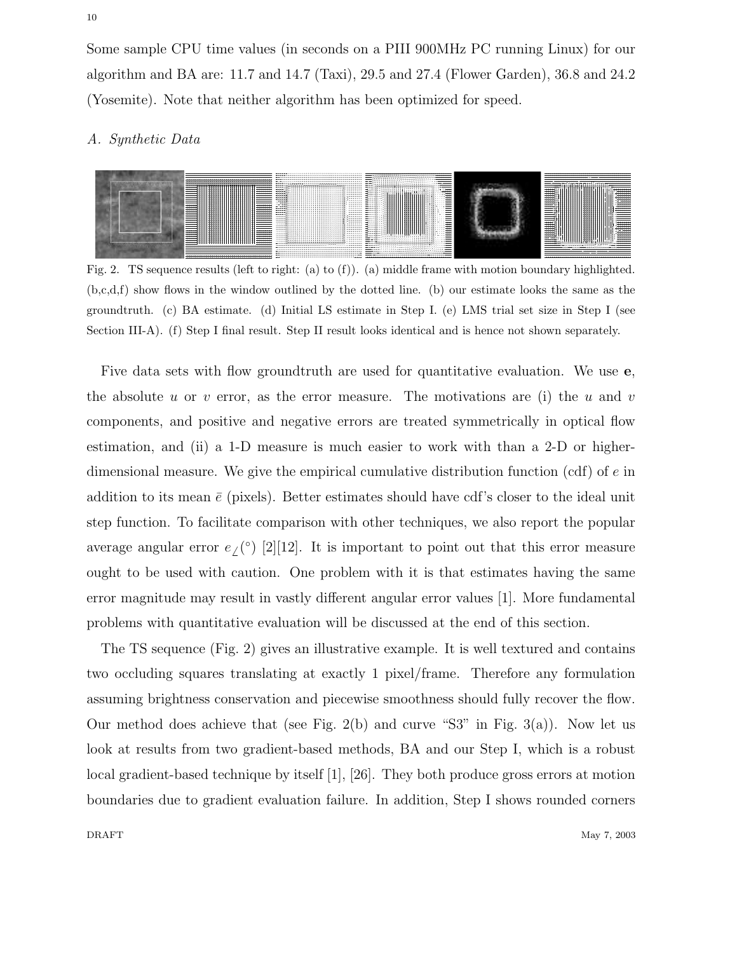Some sample CPU time values (in seconds on a PIII 900MHz PC running Linux) for our algorithm and BA are: 11.7 and 14.7 (Taxi), 29.5 and 27.4 (Flower Garden), 36.8 and 24.2 (Yosemite). Note that neither algorithm has been optimized for speed.

## A. Synthetic Data



Fig. 2. TS sequence results (left to right: (a) to (f)). (a) middle frame with motion boundary highlighted. (b,c,d,f) show flows in the window outlined by the dotted line. (b) our estimate looks the same as the groundtruth. (c) BA estimate. (d) Initial LS estimate in Step I. (e) LMS trial set size in Step I (see Section III-A). (f) Step I final result. Step II result looks identical and is hence not shown separately.

Five data sets with flow groundtruth are used for quantitative evaluation. We use **e**, the absolute u or v error, as the error measure. The motivations are (i) the u and v components, and positive and negative errors are treated symmetrically in optical flow estimation, and (ii) a 1-D measure is much easier to work with than a 2-D or higherdimensional measure. We give the empirical cumulative distribution function  $(\text{cdf})$  of e in addition to its mean  $\bar{e}$  (pixels). Better estimates should have cdf's closer to the ideal unit step function. To facilitate comparison with other techniques, we also report the popular average angular error  $e_{\ell}$ <sup>(°)</sup> [2][12]. It is important to point out that this error measure ought to be used with caution. One problem with it is that estimates having the same error magnitude may result in vastly different angular error values [1]. More fundamental problems with quantitative evaluation will be discussed at the end of this section.

The TS sequence (Fig. 2) gives an illustrative example. It is well textured and contains two occluding squares translating at exactly 1 pixel/frame. Therefore any formulation assuming brightness conservation and piecewise smoothness should fully recover the flow. Our method does achieve that (see Fig. 2(b) and curve "S3" in Fig.  $3(a)$ ). Now let us look at results from two gradient-based methods, BA and our Step I, which is a robust local gradient-based technique by itself [1], [26]. They both produce gross errors at motion boundaries due to gradient evaluation failure. In addition, Step I shows rounded corners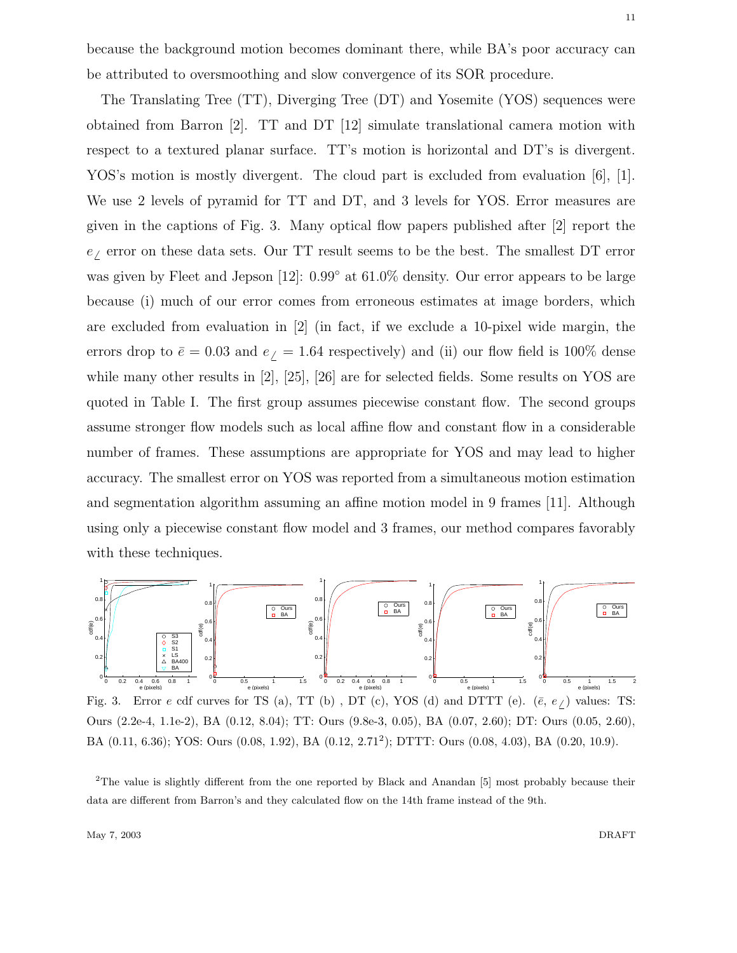because the background motion becomes dominant there, while BA's poor accuracy can be attributed to oversmoothing and slow convergence of its SOR procedure.

The Translating Tree (TT), Diverging Tree (DT) and Yosemite (YOS) sequences were obtained from Barron [2]. TT and DT [12] simulate translational camera motion with respect to a textured planar surface. TT's motion is horizontal and DT's is divergent. YOS's motion is mostly divergent. The cloud part is excluded from evaluation [6], [1]. We use 2 levels of pyramid for TT and DT, and 3 levels for YOS. Error measures are given in the captions of Fig. 3. Many optical flow papers published after [2] report the  $e<sub>\ell</sub>$  error on these data sets. Our TT result seems to be the best. The smallest DT error was given by Fleet and Jepson [12]:  $0.99°$  at 61.0% density. Our error appears to be large because (i) much of our error comes from erroneous estimates at image borders, which are excluded from evaluation in [2] (in fact, if we exclude a 10-pixel wide margin, the errors drop to  $\bar{e} = 0.03$  and  $e_f = 1.64$  respectively) and (ii) our flow field is 100% dense while many other results in [2], [25], [26] are for selected fields. Some results on YOS are quoted in Table I. The first group assumes piecewise constant flow. The second groups assume stronger flow models such as local affine flow and constant flow in a considerable number of frames. These assumptions are appropriate for YOS and may lead to higher accuracy. The smallest error on YOS was reported from a simultaneous motion estimation and segmentation algorithm assuming an affine motion model in 9 frames [11]. Although using only a piecewise constant flow model and 3 frames, our method compares favorably with these techniques.



Fig. 3. Error e cdf curves for TS (a), TT (b), DT (c), YOS (d) and DTTT (e).  $(\bar{e}, e_f)$  values: TS: Ours (2.2e-4, 1.1e-2), BA (0.12, 8.04); TT: Ours (9.8e-3, 0.05), BA (0.07, 2.60); DT: Ours (0.05, 2.60), BA (0.11, 6.36); YOS: Ours (0.08, 1.92), BA (0.12, 2.71<sup>2</sup> ); DTTT: Ours (0.08, 4.03), BA (0.20, 10.9).

<sup>2</sup>The value is slightly different from the one reported by Black and Anandan [5] most probably because their data are different from Barron's and they calculated flow on the 14th frame instead of the 9th.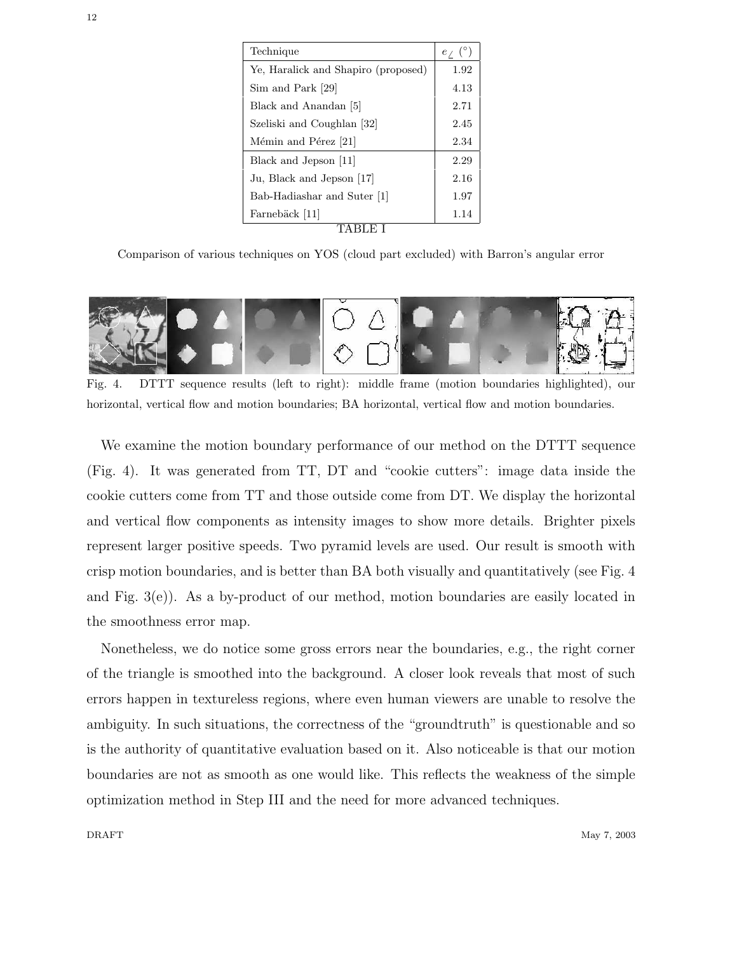| Technique                           | $e_{\angle}$ (°) |
|-------------------------------------|------------------|
| Ye, Haralick and Shapiro (proposed) | 1.92             |
| Sim and Park [29]                   | 4.13             |
| Black and Anandan [5]               | 2.71             |
| Szeliski and Coughlan [32]          | 2.45             |
| Mémin and Pérez [21]                | 2.34             |
| Black and Jepson [11]               | 2.29             |
| Ju, Black and Jepson [17]           | 2.16             |
| Bab-Hadiashar and Suter [1]         | 1.97             |
| Farnebäck [11]                      | 1.14             |
|                                     |                  |

Comparison of various techniques on YOS (cloud part excluded) with Barron's angular error



Fig. 4. DTTT sequence results (left to right): middle frame (motion boundaries highlighted), our horizontal, vertical flow and motion boundaries; BA horizontal, vertical flow and motion boundaries.

We examine the motion boundary performance of our method on the DTTT sequence (Fig. 4). It was generated from TT, DT and "cookie cutters": image data inside the cookie cutters come from TT and those outside come from DT. We display the horizontal and vertical flow components as intensity images to show more details. Brighter pixels represent larger positive speeds. Two pyramid levels are used. Our result is smooth with crisp motion boundaries, and is better than BA both visually and quantitatively (see Fig. 4 and Fig.  $3(e)$ ). As a by-product of our method, motion boundaries are easily located in the smoothness error map.

Nonetheless, we do notice some gross errors near the boundaries, e.g., the right corner of the triangle is smoothed into the background. A closer look reveals that most of such errors happen in textureless regions, where even human viewers are unable to resolve the ambiguity. In such situations, the correctness of the "groundtruth" is questionable and so is the authority of quantitative evaluation based on it. Also noticeable is that our motion boundaries are not as smooth as one would like. This reflects the weakness of the simple optimization method in Step III and the need for more advanced techniques.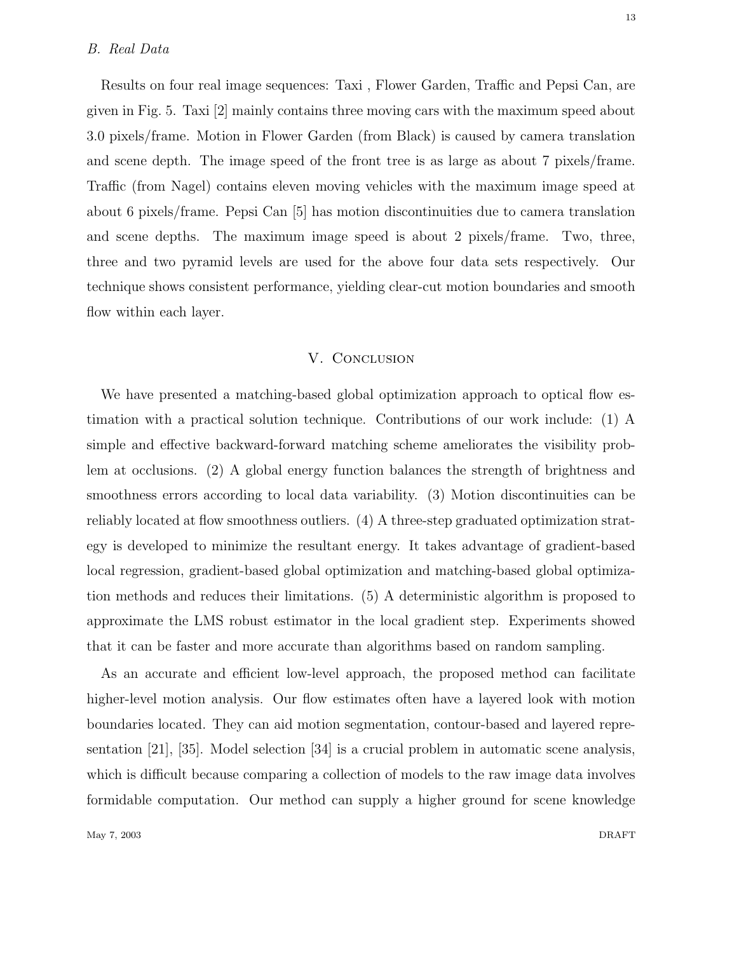Results on four real image sequences: Taxi , Flower Garden, Traffic and Pepsi Can, are given in Fig. 5. Taxi [2] mainly contains three moving cars with the maximum speed about 3.0 pixels/frame. Motion in Flower Garden (from Black) is caused by camera translation and scene depth. The image speed of the front tree is as large as about 7 pixels/frame. Traffic (from Nagel) contains eleven moving vehicles with the maximum image speed at about 6 pixels/frame. Pepsi Can [5] has motion discontinuities due to camera translation and scene depths. The maximum image speed is about 2 pixels/frame. Two, three, three and two pyramid levels are used for the above four data sets respectively. Our technique shows consistent performance, yielding clear-cut motion boundaries and smooth flow within each layer.

## V. Conclusion

We have presented a matching-based global optimization approach to optical flow estimation with a practical solution technique. Contributions of our work include: (1) A simple and effective backward-forward matching scheme ameliorates the visibility problem at occlusions. (2) A global energy function balances the strength of brightness and smoothness errors according to local data variability. (3) Motion discontinuities can be reliably located at flow smoothness outliers. (4) A three-step graduated optimization strategy is developed to minimize the resultant energy. It takes advantage of gradient-based local regression, gradient-based global optimization and matching-based global optimization methods and reduces their limitations. (5) A deterministic algorithm is proposed to approximate the LMS robust estimator in the local gradient step. Experiments showed that it can be faster and more accurate than algorithms based on random sampling.

As an accurate and efficient low-level approach, the proposed method can facilitate higher-level motion analysis. Our flow estimates often have a layered look with motion boundaries located. They can aid motion segmentation, contour-based and layered representation [21], [35]. Model selection [34] is a crucial problem in automatic scene analysis, which is difficult because comparing a collection of models to the raw image data involves formidable computation. Our method can supply a higher ground for scene knowledge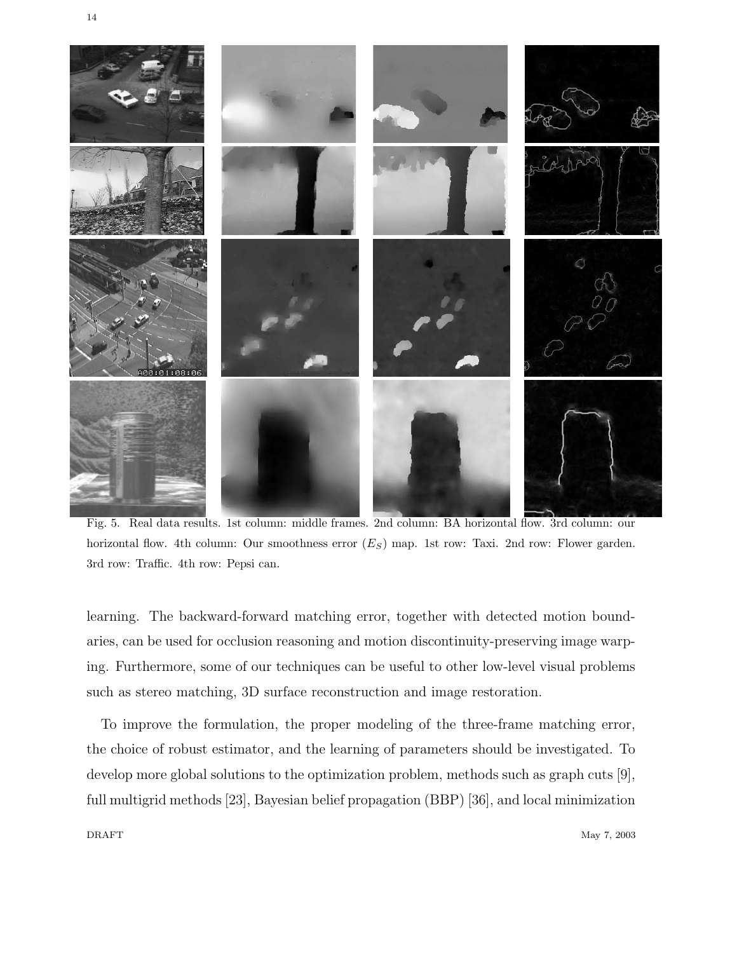

Fig. 5. Real data results. 1st column: middle frames. 2nd column: BA horizontal flow. 3rd column: our horizontal flow. 4th column: Our smoothness error  $(E_S)$  map. 1st row: Taxi. 2nd row: Flower garden. 3rd row: Traffic. 4th row: Pepsi can.

learning. The backward-forward matching error, together with detected motion boundaries, can be used for occlusion reasoning and motion discontinuity-preserving image warping. Furthermore, some of our techniques can be useful to other low-level visual problems such as stereo matching, 3D surface reconstruction and image restoration.

To improve the formulation, the proper modeling of the three-frame matching error, the choice of robust estimator, and the learning of parameters should be investigated. To develop more global solutions to the optimization problem, methods such as graph cuts [9], full multigrid methods [23], Bayesian belief propagation (BBP) [36], and local minimization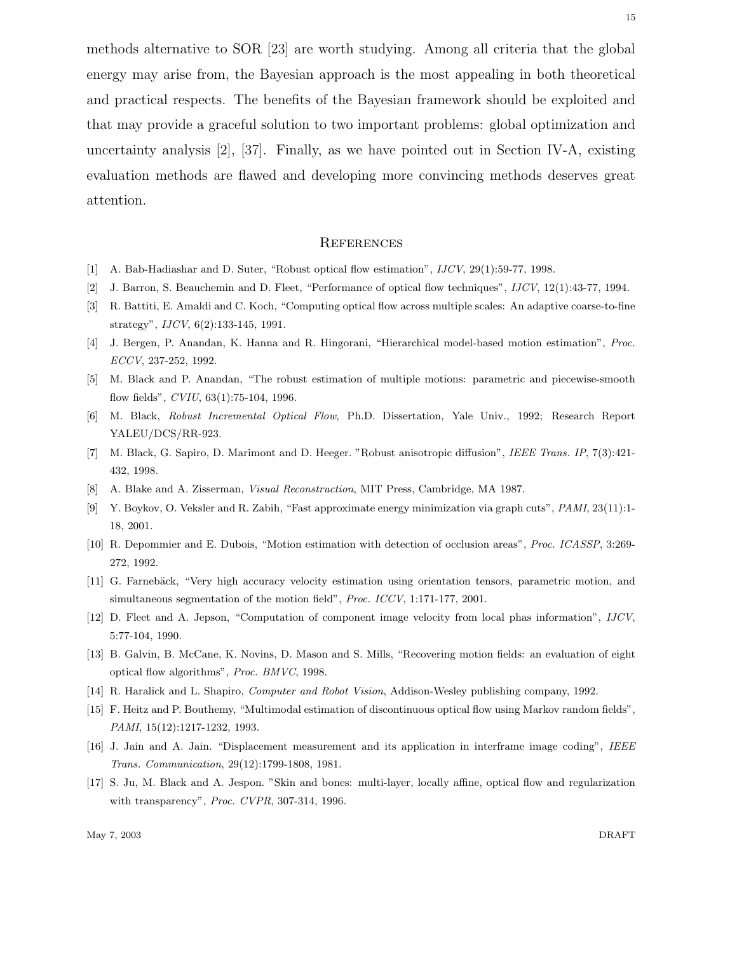methods alternative to SOR [23] are worth studying. Among all criteria that the global energy may arise from, the Bayesian approach is the most appealing in both theoretical and practical respects. The benefits of the Bayesian framework should be exploited and that may provide a graceful solution to two important problems: global optimization and uncertainty analysis  $[2]$ ,  $[37]$ . Finally, as we have pointed out in Section IV-A, existing evaluation methods are flawed and developing more convincing methods deserves great attention.

#### **REFERENCES**

- [1] A. Bab-Hadiashar and D. Suter, "Robust optical flow estimation", IJCV, 29(1):59-77, 1998.
- [2] J. Barron, S. Beauchemin and D. Fleet, "Performance of optical flow techniques", IJCV, 12(1):43-77, 1994.
- [3] R. Battiti, E. Amaldi and C. Koch, "Computing optical flow across multiple scales: An adaptive coarse-to-fine strategy", IJCV, 6(2):133-145, 1991.
- [4] J. Bergen, P. Anandan, K. Hanna and R. Hingorani, "Hierarchical model-based motion estimation", Proc. ECCV, 237-252, 1992.
- [5] M. Black and P. Anandan, "The robust estimation of multiple motions: parametric and piecewise-smooth flow fields", CVIU, 63(1):75-104, 1996.
- [6] M. Black, Robust Incremental Optical Flow, Ph.D. Dissertation, Yale Univ., 1992; Research Report YALEU/DCS/RR-923.
- [7] M. Black, G. Sapiro, D. Marimont and D. Heeger. "Robust anisotropic diffusion", IEEE Trans. IP, 7(3):421- 432, 1998.
- [8] A. Blake and A. Zisserman, Visual Reconstruction, MIT Press, Cambridge, MA 1987.
- [9] Y. Boykov, O. Veksler and R. Zabih, "Fast approximate energy minimization via graph cuts", PAMI, 23(11):1- 18, 2001.
- [10] R. Depommier and E. Dubois, "Motion estimation with detection of occlusion areas", Proc. ICASSP, 3:269- 272, 1992.
- [11] G. Farnebäck, "Very high accuracy velocity estimation using orientation tensors, parametric motion, and simultaneous segmentation of the motion field", Proc. ICCV, 1:171-177, 2001.
- [12] D. Fleet and A. Jepson, "Computation of component image velocity from local phas information", IJCV, 5:77-104, 1990.
- [13] B. Galvin, B. McCane, K. Novins, D. Mason and S. Mills, "Recovering motion fields: an evaluation of eight optical flow algorithms", Proc. BMVC, 1998.
- [14] R. Haralick and L. Shapiro, Computer and Robot Vision, Addison-Wesley publishing company, 1992.
- [15] F. Heitz and P. Bouthemy, "Multimodal estimation of discontinuous optical flow using Markov random fields", PAMI, 15(12):1217-1232, 1993.
- [16] J. Jain and A. Jain. "Displacement measurement and its application in interframe image coding", IEEE Trans. Communication, 29(12):1799-1808, 1981.
- [17] S. Ju, M. Black and A. Jespon. "Skin and bones: multi-layer, locally affine, optical flow and regularization with transparency", Proc. CVPR, 307-314, 1996.

May 7, 2003 DRAFT